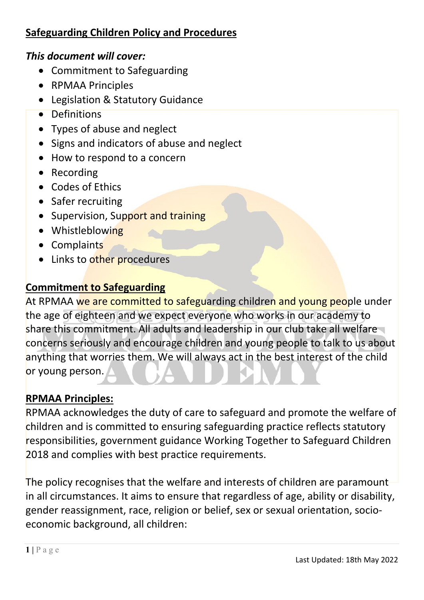#### *This document will cover:*

- Commitment to Safeguarding
- RPMAA Principles
- Legislation & Statutory Guidance
- Definitions
- Types of abuse and neglect
- Signs and indicators of abuse and neglect
- How to respond to a concern
- Recording
- Codes of Ethics
- Safer recruiting
- Supervision, Support and training
- Whistleblowing
- Complaints
- Links to other procedures

#### **Commitment to Safeguarding**

At RPMAA we are committed to safeguarding children and young people under the age of eighteen and we expect everyone who works in our academy to share this commitment. All adults and leadership in our club take all welfare concerns seriously and encourage children and young people to talk to us about anything that worries them. We will always act in the best interest of the child or young person.

#### **RPMAA Principles:**

RPMAA acknowledges the duty of care to safeguard and promote the welfare of children and is committed to ensuring safeguarding practice reflects statutory responsibilities, government guidance Working Together to Safeguard Children 2018 and complies with best practice requirements.

The policy recognises that the welfare and interests of children are paramount in all circumstances. It aims to ensure that regardless of age, ability or disability, gender reassignment, race, religion or belief, sex or sexual orientation, socioeconomic background, all children: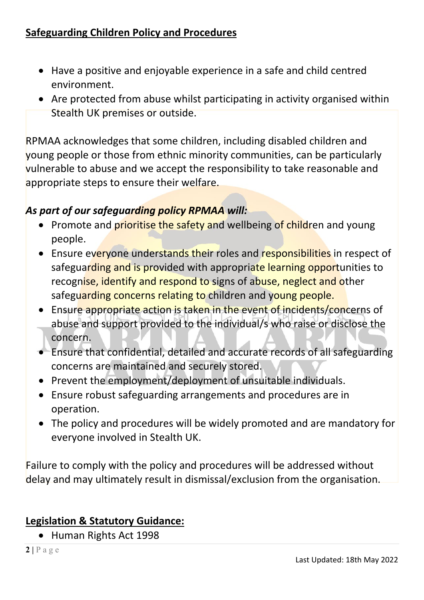- Have a positive and enjoyable experience in a safe and child centred environment.
- Are protected from abuse whilst participating in activity organised within Stealth UK premises or outside.

RPMAA acknowledges that some children, including disabled children and young people or those from ethnic minority communities, can be particularly vulnerable to abuse and we accept the responsibility to take reasonable and appropriate steps to ensure their welfare.

#### *As part of our safeguarding policy RPMAA will:*

- Promote and prioritise the safety and wellbeing of children and young people.
- Ensure everyone understands their roles and responsibilities in respect of safeguarding and is provided with appropriate learning opportunities to recognise, identify and respond to signs of abuse, neglect and other safeguarding concerns relating to children and young people.
- Ensure appropriate action is taken in the event of incidents/concerns of abuse and support provided to the individual/s who raise or disclose the concern.
- Ensure that confidential, detailed and accurate records of all safeguarding concerns are maintained and securely stored.
- Prevent the employment/deployment of unsuitable individuals.
- Ensure robust safeguarding arrangements and procedures are in operation.
- The policy and procedures will be widely promoted and are mandatory for everyone involved in Stealth UK.

Failure to comply with the policy and procedures will be addressed without delay and may ultimately result in dismissal/exclusion from the organisation.

#### **Legislation & Statutory Guidance:**

• Human Rights Act 1998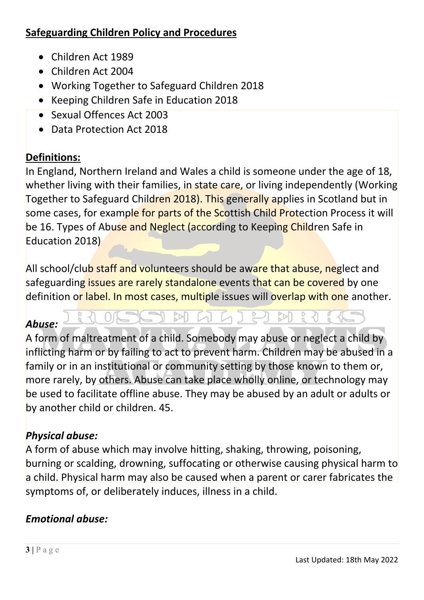- Children Act 1989
- Children Act 2004
- Working Together to Safeguard Children 2018
- Keeping Children Safe in Education 2018
- Sexual Offences Act 2003
- Data Protection Act 2018

## **Definitions:**

In England, Northern Ireland and Wales a child is someone under the age of 18, whether living with their families, in state care, or living independently (Working Together to Safeguard Children 2018). This generally applies in Scotland but in some cases, for example for parts of the Scottish Child Protection Process it will be 16. Types of Abuse and Neglect (according to Keeping Children Safe in Education 2018)

All school/club staff and volunteers should be aware that abuse, neglect and safeguarding issues are rarely standalone events that can be covered by one definition or label. In most cases, multiple issues will overlap with one another.

#### M *Abuse:*

A form of maltreatment of a child. Somebody may abuse or neglect a child by inflicting harm or by failing to act to prevent harm. Children may be abused in a family or in an institutional or community setting by those known to them or, more rarely, by others. Abuse can take place wholly online, or technology may be used to facilitate offline abuse. They may be abused by an adult or adults or by another child or children. 45.

#### *Physical abuse:*

A form of abuse which may involve hitting, shaking, throwing, poisoning, burning or scalding, drowning, suffocating or otherwise causing physical harm to a child. Physical harm may also be caused when a parent or carer fabricates the symptoms of, or deliberately induces, illness in a child.

#### *Emotional abuse:*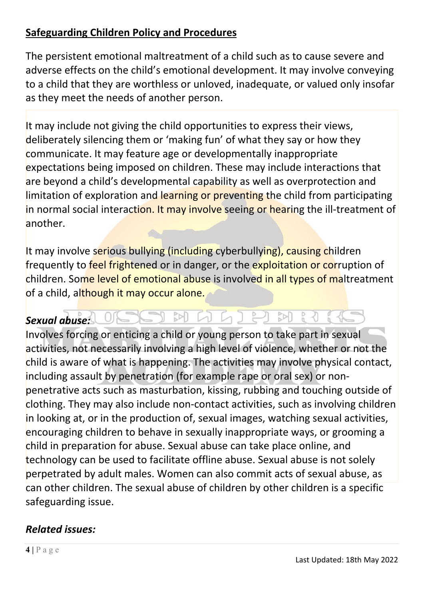The persistent emotional maltreatment of a child such as to cause severe and adverse effects on the child's emotional development. It may involve conveying to a child that they are worthless or unloved, inadequate, or valued only insofar as they meet the needs of another person.

It may include not giving the child opportunities to express their views, deliberately silencing them or 'making fun' of what they say or how they communicate. It may feature age or developmentally inappropriate expectations being imposed on children. These may include interactions that are beyond a child's developmental capability as well as overprotection and limitation of exploration and learning or preventing the child from participating in normal social interaction. It may involve seeing or hearing the ill-treatment of another.

It may involve serious bullying (including cyberbullying), causing children frequently to feel frightened or in danger, or the exploitation or corruption of children. Some level of emotional abuse is involved in all types of maltreatment of a child, although it may occur alone.

#### $ADAM$ M *Sexual abuse:*

Involves forcing or enticing a child or young person to take part in sexual activities, not necessarily involving a high level of violence, whether or not the child is aware of what is happening. The activities may involve physical contact, including assault by penetration (for example rape or oral sex) or nonpenetrative acts such as masturbation, kissing, rubbing and touching outside of clothing. They may also include non-contact activities, such as involving children in looking at, or in the production of, sexual images, watching sexual activities, encouraging children to behave in sexually inappropriate ways, or grooming a child in preparation for abuse. Sexual abuse can take place online, and technology can be used to facilitate offline abuse. Sexual abuse is not solely perpetrated by adult males. Women can also commit acts of sexual abuse, as can other children. The sexual abuse of children by other children is a specific safeguarding issue.

# *Related issues:*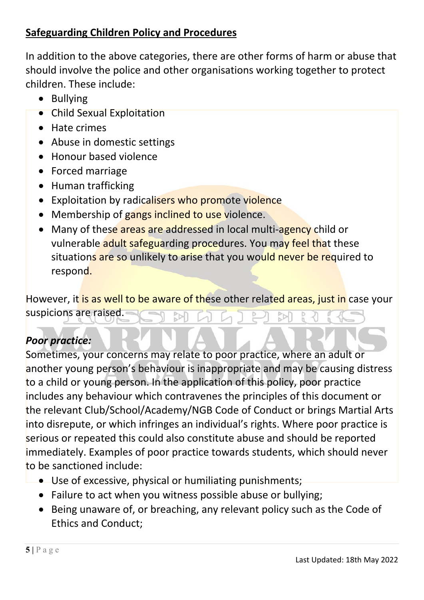In addition to the above categories, there are other forms of harm or abuse that should involve the police and other organisations working together to protect children. These include:

- Bullying
- Child Sexual Exploitation
- Hate crimes
- Abuse in domestic settings
- Honour based violence
- Forced marriage
- Human trafficking
- Exploitation by radicalisers who promote violence
- Membership of gangs inclined to use violence.
- Many of these areas are addressed in local multi-agency child or vulnerable adult safeguarding procedures. You may feel that these situations are so unlikely to arise that you would never be required to respond.

However, it is as well to be aware of these other related areas, just in case your suspicions are raised. M  $\frac{D}{D}$ M

# *Poor practice:*

Sometimes, your concerns may relate to poor practice, where an adult or another young person's behaviour is inappropriate and may be causing distress to a child or young person. In the application of this policy, poor practice includes any behaviour which contravenes the principles of this document or the relevant Club/School/Academy/NGB Code of Conduct or brings Martial Arts into disrepute, or which infringes an individual's rights. Where poor practice is serious or repeated this could also constitute abuse and should be reported immediately. Examples of poor practice towards students, which should never to be sanctioned include:

- Use of excessive, physical or humiliating punishments;
- Failure to act when you witness possible abuse or bullying;
- Being unaware of, or breaching, any relevant policy such as the Code of Ethics and Conduct;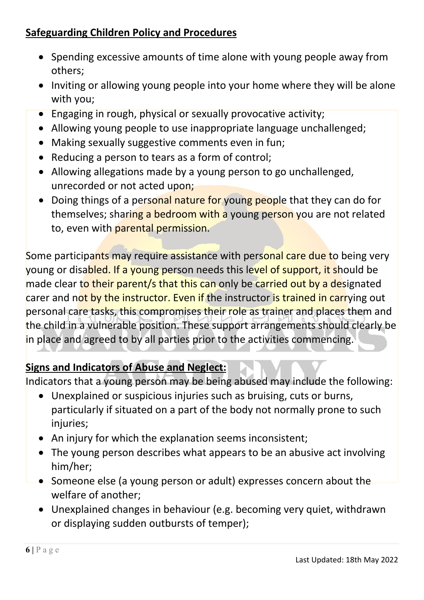- Spending excessive amounts of time alone with young people away from others;
- Inviting or allowing young people into your home where they will be alone with you;
- Engaging in rough, physical or sexually provocative activity;
- Allowing young people to use inappropriate language unchallenged;
- Making sexually suggestive comments even in fun;
- Reducing a person to tears as a form of control;
- Allowing allegations made by a young person to go unchallenged, unrecorded or not acted upon;
- Doing things of a personal nature for young people that they can do for themselves; sharing a bedroom with a young person you are not related to, even with parental permission.

Some participants may require assistance with personal care due to being very young or disabled. If a young person needs this level of support, it should be made clear to their parent/s that this can only be carried out by a designated carer and not by the instructor. Even if the instructor is trained in carrying out personal care tasks, this compromises their role as trainer and places them and the child in a vulnerable position. These support arrangements should clearly be in place and agreed to by all parties prior to the activities commencing.

#### **Signs and Indicators of Abuse and Neglect:**

Indicators that a young person may be being abused may include the following:

- Unexplained or suspicious injuries such as bruising, cuts or burns, particularly if situated on a part of the body not normally prone to such injuries;
- An injury for which the explanation seems inconsistent;
- The young person describes what appears to be an abusive act involving him/her;
- Someone else (a young person or adult) expresses concern about the welfare of another;
- Unexplained changes in behaviour (e.g. becoming very quiet, withdrawn or displaying sudden outbursts of temper);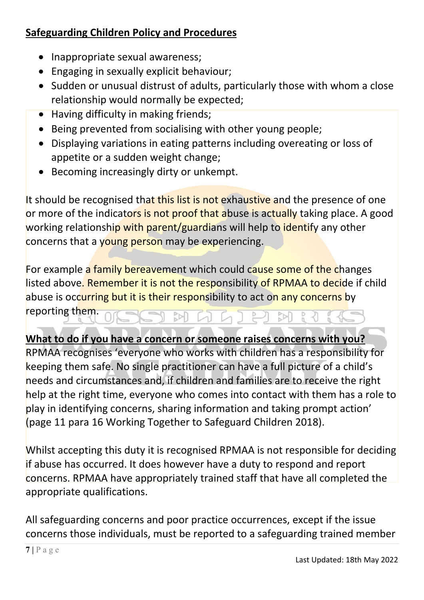- Inappropriate sexual awareness;
- Engaging in sexually explicit behaviour;
- Sudden or unusual distrust of adults, particularly those with whom a close relationship would normally be expected;
- Having difficulty in making friends;
- Being prevented from socialising with other young people;
- Displaying variations in eating patterns including overeating or loss of appetite or a sudden weight change;
- Becoming increasingly dirty or unkempt.

It should be recognised that this list is not exhaustive and the presence of one or more of the indicators is not proof that abuse is actually taking place. A good working relationship with parent/guardians will help to identify any other concerns that a young person may be experiencing.

For example a family bereavement which could cause some of the changes listed above. Remember it is not the responsibility of RPMAA to decide if child abuse is occurring but it is their responsibility to act on any concerns by reporting them. **P** M

**What to do if you have a concern or someone raises concerns with you?** RPMAA recognises 'everyone who works with children has a responsibility for keeping them safe. No single practitioner can have a full picture of a child's

needs and circumstances and, if children and families are to receive the right help at the right time, everyone who comes into contact with them has a role to play in identifying concerns, sharing information and taking prompt action' (page 11 para 16 Working Together to Safeguard Children 2018).

Whilst accepting this duty it is recognised RPMAA is not responsible for deciding if abuse has occurred. It does however have a duty to respond and report concerns. RPMAA have appropriately trained staff that have all completed the appropriate qualifications.

All safeguarding concerns and poor practice occurrences, except if the issue concerns those individuals, must be reported to a safeguarding trained member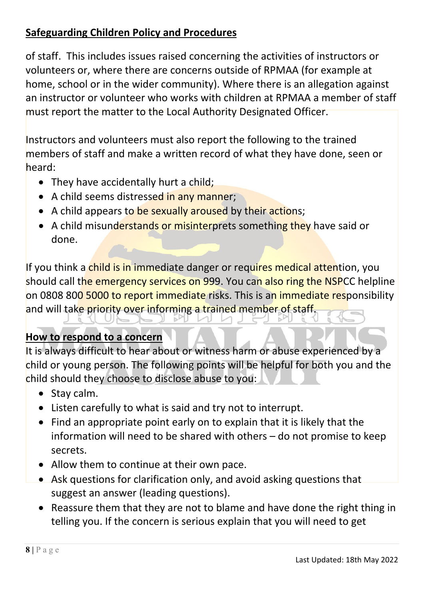of staff. This includes issues raised concerning the activities of instructors or volunteers or, where there are concerns outside of RPMAA (for example at home, school or in the wider community). Where there is an allegation against an instructor or volunteer who works with children at RPMAA a member of staff must report the matter to the Local Authority Designated Officer.

Instructors and volunteers must also report the following to the trained members of staff and make a written record of what they have done, seen or heard:

- They have accidentally hurt a child;
- A child seems distressed in any manner;
- A child appears to be sexually aroused by their actions;
- A child misunderstands or misinterprets something they have said or done.

If you think a child is in immediate danger or requires medical attention, you should call the emergency services on 999. You can also ring the NSPCC helpline on 0808 800 5000 to report immediate risks. This is an immediate responsibility and will take priority over informing a trained member of staff.

# **How to respond to a concern**

It is always difficult to hear about or witness harm or abuse experienced by a child or young person. The following points will be helpful for both you and the child should they choose to disclose abuse to you:

- Stay calm.
- Listen carefully to what is said and try not to interrupt.
- Find an appropriate point early on to explain that it is likely that the information will need to be shared with others – do not promise to keep secrets.
- Allow them to continue at their own pace.
- Ask questions for clarification only, and avoid asking questions that suggest an answer (leading questions).
- Reassure them that they are not to blame and have done the right thing in telling you. If the concern is serious explain that you will need to get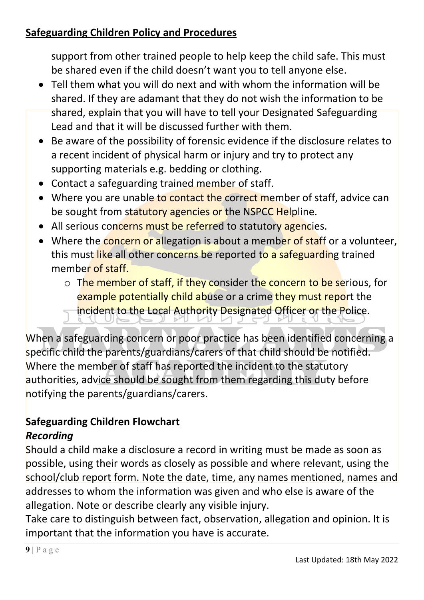support from other trained people to help keep the child safe. This must be shared even if the child doesn't want you to tell anyone else.

- Tell them what you will do next and with whom the information will be shared. If they are adamant that they do not wish the information to be shared, explain that you will have to tell your Designated Safeguarding Lead and that it will be discussed further with them.
- Be aware of the possibility of forensic evidence if the disclosure relates to a recent incident of physical harm or injury and try to protect any supporting materials e.g. bedding or clothing.
- Contact a safeguarding trained member of staff.
- Where you are unable to contact the correct member of staff, advice can be sought from statutory agencies or the NSPCC Helpline.
- All serious concerns must be referred to statutory agencies.
- Where the concern or allegation is about a member of staff or a volunteer, this must like all other concerns be reported to a safeguarding trained member of staff.
	- o The member of staff, if they consider the concern to be serious, for example potentially child abuse or a crime they must report the
	- incident to the Local Authority Designated Officer or the Police.

When a safeguarding concern or poor practice has been identified concerning a specific child the parents/guardians/carers of that child should be notified. Where the member of staff has reported the incident to the statutory authorities, advice should be sought from them regarding this duty before notifying the parents/guardians/carers.

# **Safeguarding Children Flowchart**

#### *Recording*

Should a child make a disclosure a record in writing must be made as soon as possible, using their words as closely as possible and where relevant, using the school/club report form. Note the date, time, any names mentioned, names and addresses to whom the information was given and who else is aware of the allegation. Note or describe clearly any visible injury.

Take care to distinguish between fact, observation, allegation and opinion. It is important that the information you have is accurate.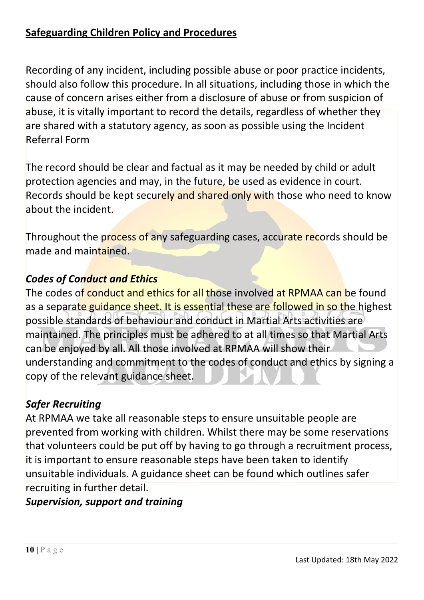Recording of any incident, including possible abuse or poor practice incidents, should also follow this procedure. In all situations, including those in which the cause of concern arises either from a disclosure of abuse or from suspicion of abuse, it is vitally important to record the details, regardless of whether they are shared with a statutory agency, as soon as possible using the Incident Referral Form

The record should be clear and factual as it may be needed by child or adult protection agencies and may, in the future, be used as evidence in court. Records should be kept securely and shared only with those who need to know about the incident.

Throughout the process of any safeguarding cases, accurate records should be made and maintained.

## *Codes of Conduct and Ethics*

The codes of conduct and ethics for all those involved at RPMAA can be found as a separate guidance sheet. It is essential these are followed in so the highest possible standards of behaviour and conduct in Martial Arts activities are maintained. The principles must be adhered to at all times so that Martial Arts can be enjoyed by all. All those involved at RPMAA will show their understanding and commitment to the codes of conduct and ethics by signing a copy of the relevant guidance sheet.

#### *Safer Recruiting*

At RPMAA we take all reasonable steps to ensure unsuitable people are prevented from working with children. Whilst there may be some reservations that volunteers could be put off by having to go through a recruitment process, it is important to ensure reasonable steps have been taken to identify unsuitable individuals. A guidance sheet can be found which outlines safer recruiting in further detail.

#### *Supervision, support and training*